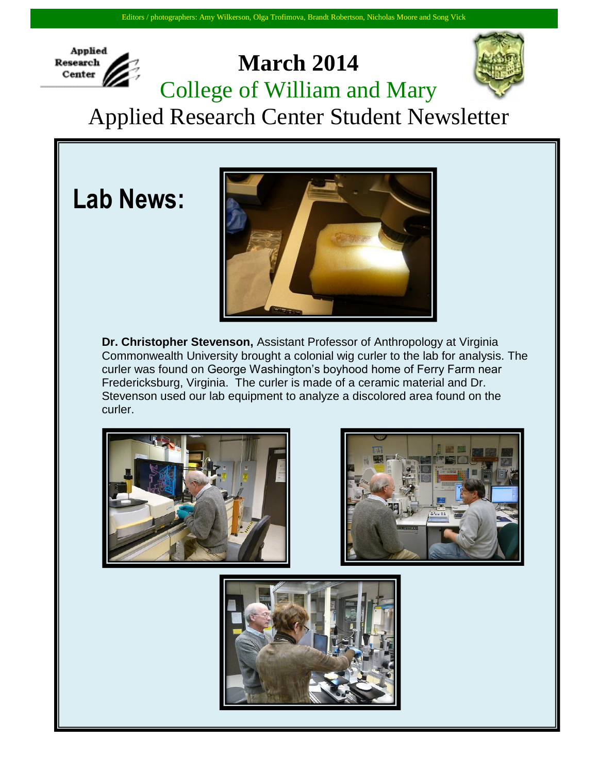

## **March 2014** College of William and Mary



Applied Research Center Student Newsletter

**Lab News:**



**Dr. Christopher Stevenson,** Assistant Professor of Anthropology at Virginia Commonwealth University brought a colonial wig curler to the lab for analysis. The curler was found on George Washington's boyhood home of Ferry Farm near Fredericksburg, Virginia. The curler is made of a ceramic material and Dr. Stevenson used our lab equipment to analyze a discolored area found on the curler.